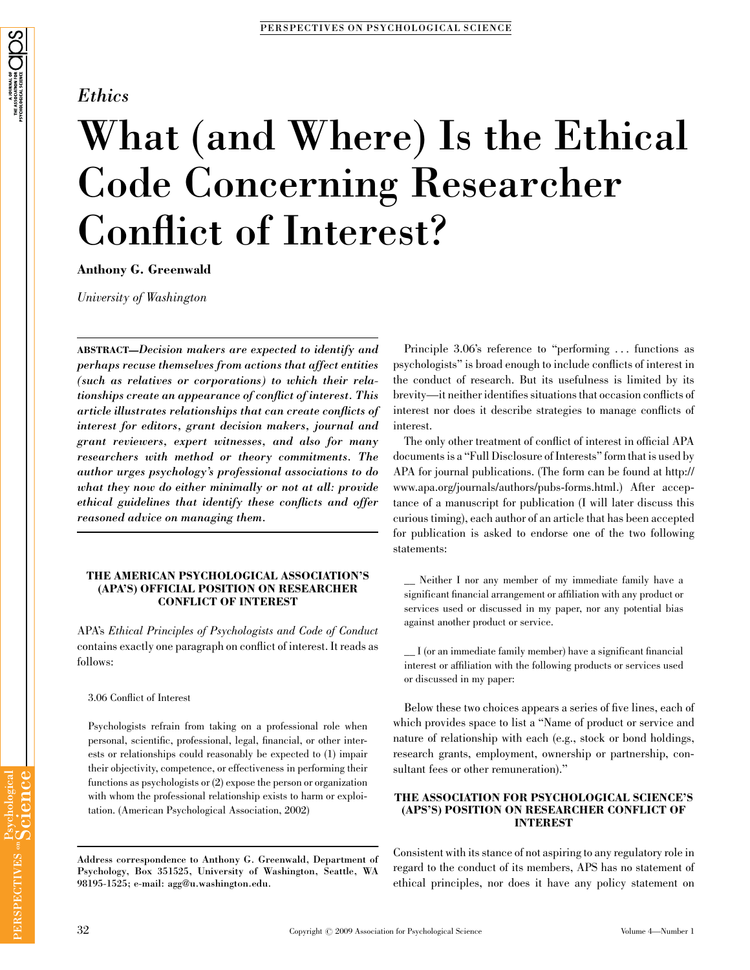# **Ethics**

# What (and Where) Is the Ethical Code Concerning Researcher Conflict of Interest?

Anthony G. Greenwald

University of Washington

ABSTRACT—Decision makers are expected to identify and perhaps recuse themselves from actions that affect entities (such as relatives or corporations) to which their relationships create an appearance of conflict of interest. This article illustrates relationships that can create conflicts of interest for editors, grant decision makers, journal and grant reviewers, expert witnesses, and also for many researchers with method or theory commitments. The author urges psychology's professional associations to do what they now do either minimally or not at all: provide ethical guidelines that identify these conflicts and offer reasoned advice on managing them.

#### THE AMERICAN PSYCHOLOGICAL ASSOCIATION'S (APA'S) OFFICIAL POSITION ON RESEARCHER CONFLICT OF INTEREST

APA's Ethical Principles of Psychologists and Code of Conduct contains exactly one paragraph on conflict of interest. It reads as follows:

## 3.06 Conflict of Interest

Psychologists refrain from taking on a professional role when personal, scientific, professional, legal, financial, or other interests or relationships could reasonably be expected to (1) impair their objectivity, competence, or effectiveness in performing their functions as psychologists or (2) expose the person or organization with whom the professional relationship exists to harm or exploitation. (American Psychological Association, 2002)

Address correspondence to Anthony G. Greenwald, Department of Psychology, Box 351525, University of Washington, Seattle, WA 98195-1525; e-mail: agg@u.washington.edu.

Principle 3.06's reference to "performing ... functions as psychologists'' is broad enough to include conflicts of interest in the conduct of research. But its usefulness is limited by its brevity—it neither identifies situations that occasion conflicts of interest nor does it describe strategies to manage conflicts of interest.

The only other treatment of conflict of interest in official APA documents is a ''Full Disclosure of Interests'' form that is used by APA for journal publications. (The form can be found at http:// www.apa.org/journals/authors/pubs-forms.html.) After acceptance of a manuscript for publication (I will later discuss this curious timing), each author of an article that has been accepted for publication is asked to endorse one of the two following statements:

\_\_ Neither I nor any member of my immediate family have a significant financial arrangement or affiliation with any product or services used or discussed in my paper, nor any potential bias against another product or service.

\_\_ I (or an immediate family member) have a significant financial interest or affiliation with the following products or services used or discussed in my paper:

Below these two choices appears a series of five lines, each of which provides space to list a ''Name of product or service and nature of relationship with each (e.g., stock or bond holdings, research grants, employment, ownership or partnership, consultant fees or other remuneration).''

#### THE ASSOCIATION FOR PSYCHOLOGICAL SCIENCE'S (APS'S) POSITION ON RESEARCHER CONFLICT OF INTEREST

Consistent with its stance of not aspiring to any regulatory role in regard to the conduct of its members, APS has no statement of ethical principles, nor does it have any policy statement on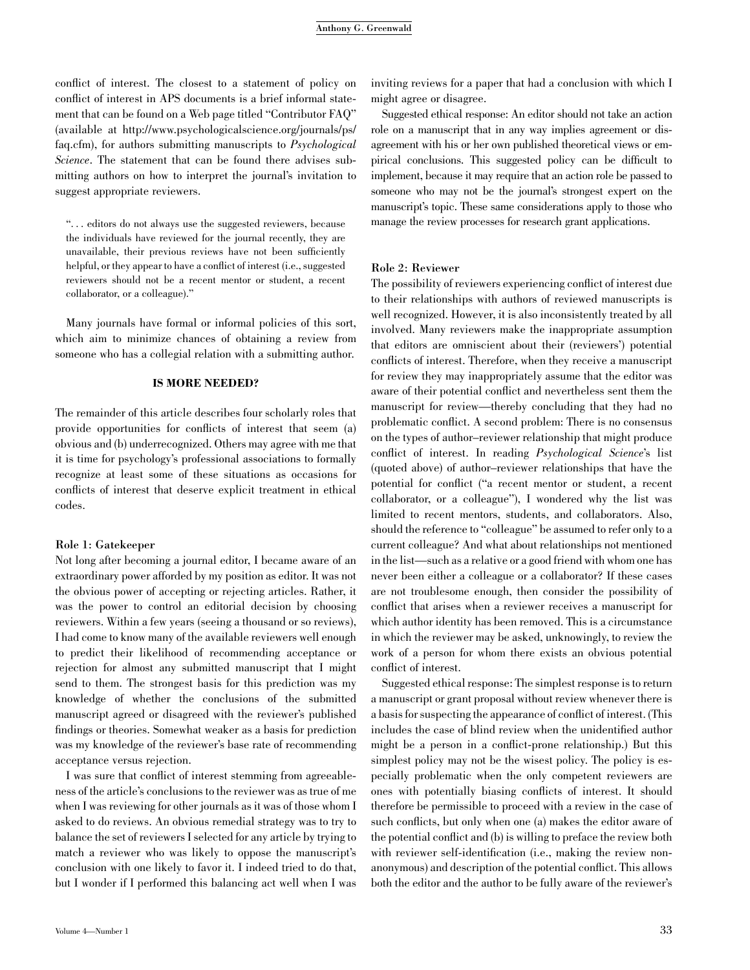conflict of interest. The closest to a statement of policy on conflict of interest in APS documents is a brief informal statement that can be found on a Web page titled ''Contributor FAQ'' (available at http://www.psychologicalscience.org/journals/ps/ faq.cfm), for authors submitting manuscripts to Psychological Science. The statement that can be found there advises submitting authors on how to interpret the journal's invitation to suggest appropriate reviewers.

''. . . editors do not always use the suggested reviewers, because the individuals have reviewed for the journal recently, they are unavailable, their previous reviews have not been sufficiently helpful, or they appear to have a conflict of interest (i.e., suggested reviewers should not be a recent mentor or student, a recent collaborator, or a colleague).''

Many journals have formal or informal policies of this sort, which aim to minimize chances of obtaining a review from someone who has a collegial relation with a submitting author.

#### IS MORE NEEDED?

The remainder of this article describes four scholarly roles that provide opportunities for conflicts of interest that seem (a) obvious and (b) underrecognized. Others may agree with me that it is time for psychology's professional associations to formally recognize at least some of these situations as occasions for conflicts of interest that deserve explicit treatment in ethical codes.

#### Role 1: Gatekeeper

Not long after becoming a journal editor, I became aware of an extraordinary power afforded by my position as editor. It was not the obvious power of accepting or rejecting articles. Rather, it was the power to control an editorial decision by choosing reviewers. Within a few years (seeing a thousand or so reviews), I had come to know many of the available reviewers well enough to predict their likelihood of recommending acceptance or rejection for almost any submitted manuscript that I might send to them. The strongest basis for this prediction was my knowledge of whether the conclusions of the submitted manuscript agreed or disagreed with the reviewer's published findings or theories. Somewhat weaker as a basis for prediction was my knowledge of the reviewer's base rate of recommending acceptance versus rejection.

I was sure that conflict of interest stemming from agreeableness of the article's conclusions to the reviewer was as true of me when I was reviewing for other journals as it was of those whom I asked to do reviews. An obvious remedial strategy was to try to balance the set of reviewers I selected for any article by trying to match a reviewer who was likely to oppose the manuscript's conclusion with one likely to favor it. I indeed tried to do that, but I wonder if I performed this balancing act well when I was inviting reviews for a paper that had a conclusion with which I might agree or disagree.

Suggested ethical response: An editor should not take an action role on a manuscript that in any way implies agreement or disagreement with his or her own published theoretical views or empirical conclusions. This suggested policy can be difficult to implement, because it may require that an action role be passed to someone who may not be the journal's strongest expert on the manuscript's topic. These same considerations apply to those who manage the review processes for research grant applications.

#### Role 2: Reviewer

The possibility of reviewers experiencing conflict of interest due to their relationships with authors of reviewed manuscripts is well recognized. However, it is also inconsistently treated by all involved. Many reviewers make the inappropriate assumption that editors are omniscient about their (reviewers') potential conflicts of interest. Therefore, when they receive a manuscript for review they may inappropriately assume that the editor was aware of their potential conflict and nevertheless sent them the manuscript for review—thereby concluding that they had no problematic conflict. A second problem: There is no consensus on the types of author–reviewer relationship that might produce conflict of interest. In reading Psychological Science's list (quoted above) of author–reviewer relationships that have the potential for conflict (''a recent mentor or student, a recent collaborator, or a colleague''), I wondered why the list was limited to recent mentors, students, and collaborators. Also, should the reference to "colleague" be assumed to refer only to a current colleague? And what about relationships not mentioned in the list—such as a relative or a good friend with whom one has never been either a colleague or a collaborator? If these cases are not troublesome enough, then consider the possibility of conflict that arises when a reviewer receives a manuscript for which author identity has been removed. This is a circumstance in which the reviewer may be asked, unknowingly, to review the work of a person for whom there exists an obvious potential conflict of interest.

Suggested ethical response: The simplest response is to return a manuscript or grant proposal without review whenever there is a basis for suspecting the appearance of conflict of interest. (This includes the case of blind review when the unidentified author might be a person in a conflict-prone relationship.) But this simplest policy may not be the wisest policy. The policy is especially problematic when the only competent reviewers are ones with potentially biasing conflicts of interest. It should therefore be permissible to proceed with a review in the case of such conflicts, but only when one (a) makes the editor aware of the potential conflict and (b) is willing to preface the review both with reviewer self-identification (i.e., making the review nonanonymous) and description of the potential conflict. This allows both the editor and the author to be fully aware of the reviewer's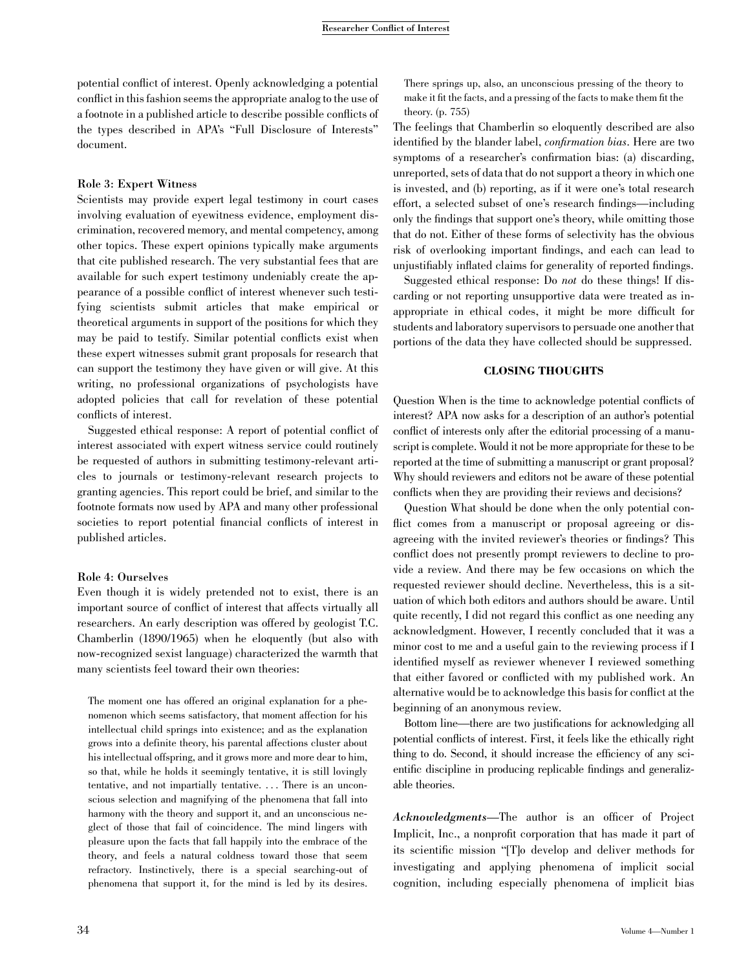potential conflict of interest. Openly acknowledging a potential conflict in this fashion seems the appropriate analog to the use of a footnote in a published article to describe possible conflicts of the types described in APA's ''Full Disclosure of Interests'' document.

#### Role 3: Expert Witness

Scientists may provide expert legal testimony in court cases involving evaluation of eyewitness evidence, employment discrimination, recovered memory, and mental competency, among other topics. These expert opinions typically make arguments that cite published research. The very substantial fees that are available for such expert testimony undeniably create the appearance of a possible conflict of interest whenever such testifying scientists submit articles that make empirical or theoretical arguments in support of the positions for which they may be paid to testify. Similar potential conflicts exist when these expert witnesses submit grant proposals for research that can support the testimony they have given or will give. At this writing, no professional organizations of psychologists have adopted policies that call for revelation of these potential conflicts of interest.

Suggested ethical response: A report of potential conflict of interest associated with expert witness service could routinely be requested of authors in submitting testimony-relevant articles to journals or testimony-relevant research projects to granting agencies. This report could be brief, and similar to the footnote formats now used by APA and many other professional societies to report potential financial conflicts of interest in published articles.

#### Role 4: Ourselves

Even though it is widely pretended not to exist, there is an important source of conflict of interest that affects virtually all researchers. An early description was offered by geologist T.C. Chamberlin (1890/1965) when he eloquently (but also with now-recognized sexist language) characterized the warmth that many scientists feel toward their own theories:

The moment one has offered an original explanation for a phenomenon which seems satisfactory, that moment affection for his intellectual child springs into existence; and as the explanation grows into a definite theory, his parental affections cluster about his intellectual offspring, and it grows more and more dear to him, so that, while he holds it seemingly tentative, it is still lovingly tentative, and not impartially tentative. ... There is an unconscious selection and magnifying of the phenomena that fall into harmony with the theory and support it, and an unconscious neglect of those that fail of coincidence. The mind lingers with pleasure upon the facts that fall happily into the embrace of the theory, and feels a natural coldness toward those that seem refractory. Instinctively, there is a special searching-out of phenomena that support it, for the mind is led by its desires.

There springs up, also, an unconscious pressing of the theory to make it fit the facts, and a pressing of the facts to make them fit the theory. (p. 755)

The feelings that Chamberlin so eloquently described are also identified by the blander label, confirmation bias. Here are two symptoms of a researcher's confirmation bias: (a) discarding, unreported, sets of data that do not support a theory in which one is invested, and (b) reporting, as if it were one's total research effort, a selected subset of one's research findings—including only the findings that support one's theory, while omitting those that do not. Either of these forms of selectivity has the obvious risk of overlooking important findings, and each can lead to unjustifiably inflated claims for generality of reported findings.

Suggested ethical response: Do not do these things! If discarding or not reporting unsupportive data were treated as inappropriate in ethical codes, it might be more difficult for students and laboratory supervisors to persuade one another that portions of the data they have collected should be suppressed.

#### CLOSING THOUGHTS

Question When is the time to acknowledge potential conflicts of interest? APA now asks for a description of an author's potential conflict of interests only after the editorial processing of a manuscript is complete. Would it not be more appropriate for these to be reported at the time of submitting a manuscript or grant proposal? Why should reviewers and editors not be aware of these potential conflicts when they are providing their reviews and decisions?

Question What should be done when the only potential conflict comes from a manuscript or proposal agreeing or disagreeing with the invited reviewer's theories or findings? This conflict does not presently prompt reviewers to decline to provide a review. And there may be few occasions on which the requested reviewer should decline. Nevertheless, this is a situation of which both editors and authors should be aware. Until quite recently, I did not regard this conflict as one needing any acknowledgment. However, I recently concluded that it was a minor cost to me and a useful gain to the reviewing process if I identified myself as reviewer whenever I reviewed something that either favored or conflicted with my published work. An alternative would be to acknowledge this basis for conflict at the beginning of an anonymous review.

Bottom line—there are two justifications for acknowledging all potential conflicts of interest. First, it feels like the ethically right thing to do. Second, it should increase the efficiency of any scientific discipline in producing replicable findings and generalizable theories.

Acknowledgments—The author is an officer of Project Implicit, Inc., a nonprofit corporation that has made it part of its scientific mission ''[T]o develop and deliver methods for investigating and applying phenomena of implicit social cognition, including especially phenomena of implicit bias